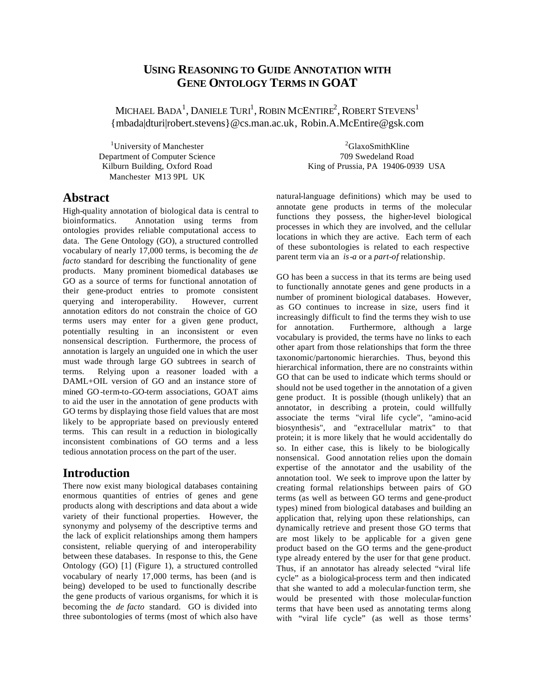# **USING REASONING TO GUIDE ANNOTATION WITH GENE ONTOLOGY TERMS IN GOAT**

MICHAEL  $\mathsf{BAD}\mathrm{A}^1, \mathsf{DANIELE}$  TURI $^1, \mathsf{ROBIN}$  MCENTIRE $^2, \mathsf{ROBERT}$  STEVENS  $^1$ {mbada|dturi|robert.stevens}@cs.man.ac.uk, Robin.A.McEntire@gsk.com

<sup>1</sup>University of Manchester Department of Computer Science Kilburn Building, Oxford Road Manchester M13 9PL UK

 $^{2}$ GlaxoSmithKline 709 Swedeland Road King of Prussia, PA 19406-0939 USA

### **Abstract**

High-quality annotation of biological data is central to bioinformatics. Annotation using terms from ontologies provides reliable computational access to data. The Gene Ontology (GO), a structured controlled vocabulary of nearly 17,000 terms, is becoming the *de facto* standard for describing the functionality of gene products. Many prominent biomedical databases use GO as a source of terms for functional annotation of their gene-product entries to promote consistent querying and interoperability. However, current annotation editors do not constrain the choice of GO terms users may enter for a given gene product, potentially resulting in an inconsistent or even nonsensical description. Furthermore, the process of annotation is largely an unguided one in which the user must wade through large GO subtrees in search of terms. Relying upon a reasoner loaded with a DAML+OIL version of GO and an instance store of mined GO-term-to-GO-term associations, GOAT aims to aid the user in the annotation of gene products with GO terms by displaying those field values that are most likely to be appropriate based on previously entered terms. This can result in a reduction in biologically inconsistent combinations of GO terms and a less tedious annotation process on the part of the user.

#### **Introduction**

There now exist many biological databases containing enormous quantities of entries of genes and gene products along with descriptions and data about a wide variety of their functional properties. However, the synonymy and polysemy of the descriptive terms and the lack of explicit relationships among them hampers consistent, reliable querying of and interoperability between these databases. In response to this, the Gene Ontology (GO) [1] (Figure 1), a structured controlled vocabulary of nearly 17,000 terms, has been (and is being) developed to be used to functionally describe the gene products of various organisms, for which it is becoming the *de facto* standard. GO is divided into three subontologies of terms (most of which also have

natural-language definitions) which may be used to annotate gene products in terms of the molecular functions they possess, the higher-level biological processes in which they are involved, and the cellular locations in which they are active. Each term of each of these subontologies is related to each respective parent term via an *is-a* or a *part-of* relationship.

GO has been a success in that its terms are being used to functionally annotate genes and gene products in a number of prominent biological databases. However, as GO continues to increase in size, users find it increasingly difficult to find the terms they wish to use for annotation. Furthermore, although a large vocabulary is provided, the terms have no links to each other apart from those relationships that form the three taxonomic/partonomic hierarchies. Thus, beyond this hierarchical information, there are no constraints within GO that can be used to indicate which terms should or should not be used together in the annotation of a given gene product. It is possible (though unlikely) that an annotator, in describing a protein, could willfully associate the terms "viral life cycle", "amino-acid biosynthesis", and "extracellular matrix" to that protein; it is more likely that he would accidentally do so. In either case, this is likely to be biologically nonsensical. Good annotation relies upon the domain expertise of the annotator and the usability of the annotation tool. We seek to improve upon the latter by creating formal relationships between pairs of GO terms (as well as between GO terms and gene-product types) mined from biological databases and building an application that, relying upon these relationships, can dynamically retrieve and present those GO terms that are most likely to be applicable for a given gene product based on the GO terms and the gene-product type already entered by the user for that gene product. Thus, if an annotator has already selected "viral life cycle" as a biological-process term and then indicated that she wanted to add a molecular-function term, she would be presented with those molecular-function terms that have been used as annotating terms along with "viral life cycle" (as well as those terms'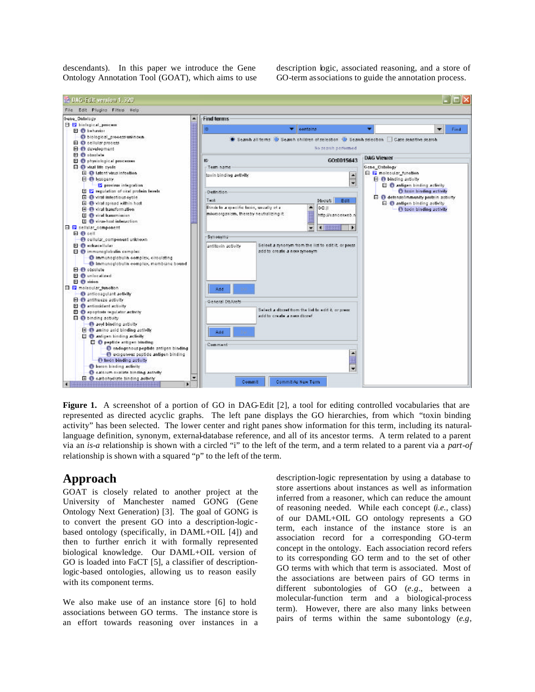descendants). In this paper we introduce the Gene Ontology Annotation Tool (GOAT), which aims to use description logic, associated reasoning, and a store of GO-term associations to guide the annotation process.



**Figure 1.** A screenshot of a portion of GO in DAG-Edit [2], a tool for editing controlled vocabularies that are represented as directed acyclic graphs. The left pane displays the GO hierarchies, from which "toxin binding activity" has been selected. The lower center and right panes show information for this term, including its naturallanguage definition, synonym, external-database reference, and all of its ancestor terms. A term related to a parent via an *is-a* relationship is shown with a circled "i" to the left of the term, and a term related to a parent via a *part-of* relationship is shown with a squared "p" to the left of the term.

#### **Approach**

GOAT is closely related to another project at the University of Manchester named GONG (Gene Ontology Next Generation) [3]. The goal of GONG is to convert the present GO into a description-logic based ontology (specifically, in DAML+OIL [4]) and then to further enrich it with formally represented biological knowledge. Our DAML+OIL version of GO is loaded into FaCT [5], a classifier of descriptionlogic-based ontologies, allowing us to reason easily with its component terms.

We also make use of an instance store [6] to hold associations between GO terms. The instance store is an effort towards reasoning over instances in a description-logic representation by using a database to store assertions about instances as well as information inferred from a reasoner, which can reduce the amount of reasoning needed. While each concept (*i.e.*, class) of our DAML+OIL GO ontology represents a GO term, each instance of the instance store is an association record for a corresponding GO-term concept in the ontology. Each association record refers to its corresponding GO term and to the set of other GO terms with which that term is associated. Most of the associations are between pairs of GO terms in different subontologies of GO (*e.g.*, between a molecular-function term and a biological-process term). However, there are also many links between pairs of terms within the same subontology (*e.g*,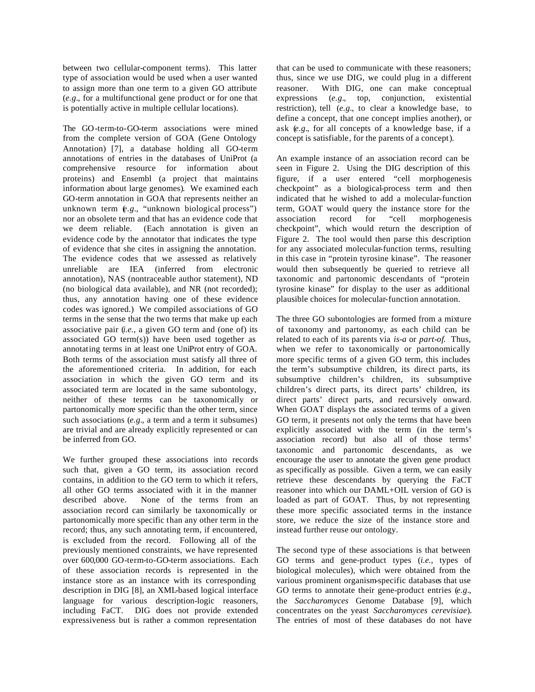between two cellular-component terms). This latter type of association would be used when a user wanted to assign more than one term to a given GO attribute (*e.g.*, for a multifunctional gene product or for one that is potentially active in multiple cellular locations).

The GO-term-to-GO-term associations were mined from the complete version of GOA (Gene Ontology Annotation) [7], a database holding all GO-term annotations of entries in the databases of UniProt (a comprehensive resource for information about proteins) and Ensembl (a project that maintains information about large genomes). We examined each GO-term annotation in GOA that represents neither an unknown term  $(e.g., "unknown biological process")$ nor an obsolete term and that has an evidence code that we deem reliable. (Each annotation is given an evidence code by the annotator that indicates the type of evidence that she cites in assigning the annotation. The evidence codes that we assessed as relatively unreliable are IEA (inferred from electronic annotation), NAS (nontraceable author statement), ND (no biological data available), and NR (not recorded); thus, any annotation having one of these evidence codes was ignored.) We compiled associations of GO terms in the sense that the two terms that make up each associative pair (*i.e.*, a given GO term and (one of) its associated GO term(s)) have been used together as annotating terms in at least one UniProt entry of GOA. Both terms of the association must satisfy all three of the aforementioned criteria. In addition, for each association in which the given GO term and its associated term are located in the same subontology, neither of these terms can be taxonomically or partonomically more specific than the other term, since such associations (*e.g.*, a term and a term it subsumes) are trivial and are already explicitly represented or can be inferred from GO.

We further grouped these associations into records such that, given a GO term, its association record contains, in addition to the GO term to which it refers, all other GO terms associated with it in the manner described above. None of the terms from an association record can similarly be taxonomically or partonomically more specific than any other term in the record; thus, any such annotating term, if encountered, is excluded from the record. Following all of the previously mentioned constraints, we have represented over 600,000 GO-term-to-GO-term associations. Each of these association records is represented in the instance store as an instance with its corresponding description in DIG [8], an XML-based logical interface language for various description-logic reasoners, including FaCT. DIG does not provide extended expressiveness but is rather a common representation

that can be used to communicate with these reasoners; thus, since we use DIG, we could plug in a different reasoner. With DIG, one can make conceptual expressions (*e.g.*, top, conjunction, existential restriction), tell (*e.g.*, to clear a knowledge base, to define a concept, that one concept implies another), or ask (*e.g.*, for all concepts of a knowledge base, if a concept is satisfiable, for the parents of a concept).

An example instance of an association record can be seen in Figure 2. Using the DIG description of this figure, if a user entered "cell morphogenesis checkpoint" as a biological-process term and then indicated that he wished to add a molecular-function term, GOAT would query the instance store for the association record for "cell morphogenesis checkpoint", which would return the description of Figure 2. The tool would then parse this description for any associated molecular-function terms, resulting in this case in "protein tyrosine kinase". The reasoner would then subsequently be queried to retrieve all taxonomic and partonomic descendants of "protein tyrosine kinase" for display to the user as additional plausible choices for molecular-function annotation.

The three GO subontologies are formed from a mixture of taxonomy and partonomy, as each child can be related to each of its parents via *is-a* or *part-of*. Thus, when we refer to taxonomically or partonomically more specific terms of a given GO term, this includes the term's subsumptive children, its direct parts, its subsumptive children's children, its subsumptive children's direct parts, its direct parts' children, its direct parts' direct parts, and recursively onward. When GOAT displays the associated terms of a given GO term, it presents not only the terms that have been explicitly associated with the term (in the term's association record) but also all of those terms' taxonomic and partonomic descendants, as we encourage the user to annotate the given gene product as specifically as possible. Given a term, we can easily retrieve these descendants by querying the FaCT reasoner into which our DAML+OIL version of GO is loaded as part of GOAT. Thus, by not representing these more specific associated terms in the instance store, we reduce the size of the instance store and instead further reuse our ontology.

The second type of these associations is that between GO terms and gene-product types (*i.e.*, types of biological molecules), which were obtained from the various prominent organism-specific databases that use GO terms to annotate their gene-product entries (*e.g.*, the *Saccharomyces* Genome Database [9], which concentrates on the yeast *Saccharomyces cerevisiae*). The entries of most of these databases do not have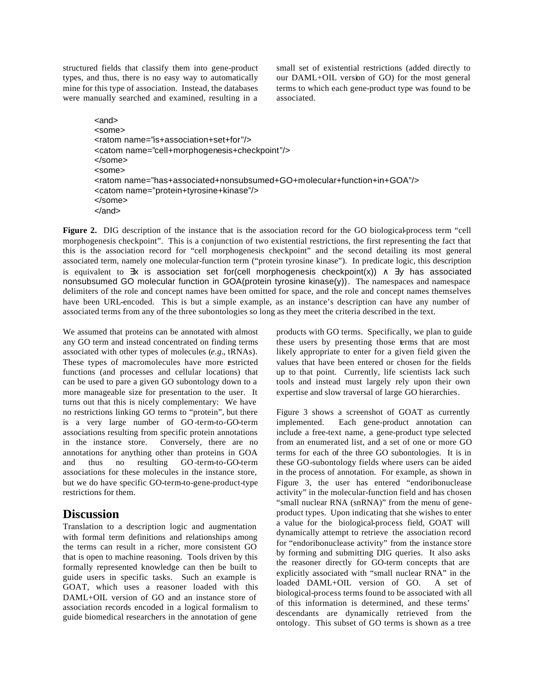structured fields that classify them into gene-product types, and thus, there is no easy way to automatically mine for this type of association. Instead, the databases were manually searched and examined, resulting in a

small set of existential restrictions (added directly to our DAML+OIL version of GO) for the most general terms to which each gene-product type was found to be associated.

```
<and>
<some>
<ratom name="is+association+set+for"/>
<catom name="cell+morphogenesis+checkpoint"/>
</some>
<some>
<ratom name="has+associated+nonsubsumed+GO+molecular+function+in+GOA"/>
<catom name="protein+tyrosine+kinase"/>
</some>
</and>
```
**Figure 2.** DIG description of the instance that is the association record for the GO biological-process term "cell morphogenesis checkpoint". This is a conjunction of two existential restrictions, the first representing the fact that this is the association record for "cell morphogenesis checkpoint" and the second detailing its most general associated term, namely one molecular-function term ("protein tyrosine kinase"). In predicate logic, this description is equivalent to  $\exists x$  is association set for(cell morphogenesis checkpoint(x))  $\land \exists y$  has associated nonsubsumed GO molecular function in GOA(protein tyrosine kinase(y)). The namespaces and namespace delimiters of the role and concept names have been omitted for space, and the role and concept names themselves have been URL-encoded. This is but a simple example, as an instance's description can have any number of associated terms from any of the three subontologies so long as they meet the criteria described in the text.

We assumed that proteins can be annotated with almost any GO term and instead concentrated on finding terms associated with other types of molecules (*e.g.*, tRNAs). These types of macromolecules have more estricted functions (and processes and cellular locations) that can be used to pare a given GO subontology down to a more manageable size for presentation to the user. It turns out that this is nicely complementary: We have no restrictions linking GO terms to "protein", but there is a very large number of GO -term-to-GO-term associations resulting from specific protein annotations in the instance store. Conversely, there are no annotations for anything other than proteins in GOA and thus no resulting GO -term-to-GO-term associations for these molecules in the instance store, but we do have specific GO-term-to-gene-product-type restrictions for them.

### **Discussion**

Translation to a description logic and augmentation with formal term definitions and relationships among the terms can result in a richer, more consistent GO that is open to machine reasoning. Tools driven by this formally represented knowledge can then be built to guide users in specific tasks. Such an example is GOAT, which uses a reasoner loaded with this DAML+OIL version of GO and an instance store of association records encoded in a logical formalism to guide biomedical researchers in the annotation of gene products with GO terms. Specifically, we plan to guide these users by presenting those terms that are most likely appropriate to enter for a given field given the values that have been entered or chosen for the fields up to that point. Currently, life scientists lack such tools and instead must largely rely upon their own expertise and slow traversal of large GO hierarchies.

Figure 3 shows a screenshot of GOAT as currently implemented. Each gene-product annotation can include a free-text name, a gene-product type selected from an enumerated list, and a set of one or more GO terms for each of the three GO subontologies. It is in these GO-subontology fields where users can be aided in the process of annotation. For example, as shown in Figure 3, the user has entered "endoribonuclease activity" in the molecular-function field and has chosen "small nuclear RNA (snRNA)" from the menu of geneproduct types. Upon indicating that she wishes to enter a value for the biological-process field, GOAT will dynamically attempt to retrieve the association record for "endoribonuclease activity" from the instance store by forming and submitting DIG queries. It also asks the reasoner directly for GO-term concepts that are explicitly associated with "small nuclear RNA" in the loaded DAML+OIL version of GO. A set of biological-process terms found to be associated with all of this information is determined, and these terms' descendants are dynamically retrieved from the ontology. This subset of GO terms is shown as a tree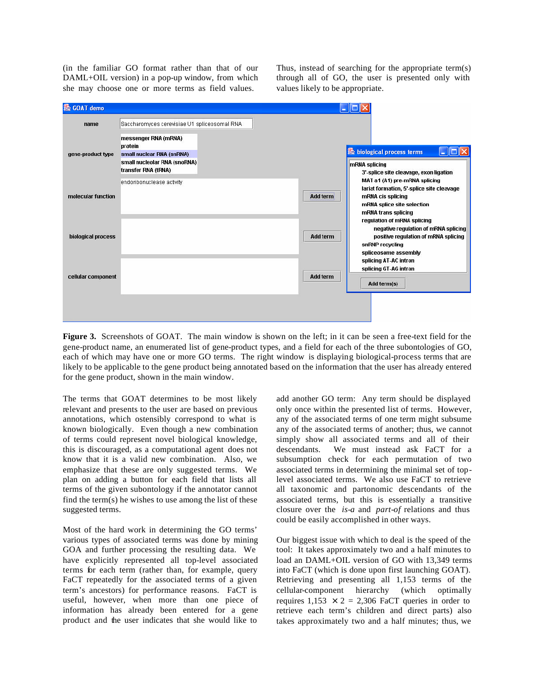(in the familiar GO format rather than that of our DAML+OIL version) in a pop-up window, from which she may choose one or more terms as field values.

Thus, instead of searching for the appropriate term(s) through all of GO, the user is presented only with values likely to be appropriate.



**Figure 3.** Screenshots of GOAT. The main window is shown on the left; in it can be seen a free-text field for the gene-product name, an enumerated list of gene-product types, and a field for each of the three subontologies of GO, each of which may have one or more GO terms. The right window is displaying biological-process terms that are likely to be applicable to the gene product being annotated based on the information that the user has already entered for the gene product, shown in the main window.

The terms that GOAT determines to be most likely relevant and presents to the user are based on previous annotations, which ostensibly correspond to what is known biologically. Even though a new combination of terms could represent novel biological knowledge, this is discouraged, as a computational agent does not know that it is a valid new combination. Also, we emphasize that these are only suggested terms. We plan on adding a button for each field that lists all terms of the given subontology if the annotator cannot find the term(s) he wishes to use among the list of these suggested terms.

Most of the hard work in determining the GO terms' various types of associated terms was done by mining GOA and further processing the resulting data. We have explicitly represented all top-level associated terms for each term (rather than, for example, query FaCT repeatedly for the associated terms of a given term's ancestors) for performance reasons. FaCT is useful, however, when more than one piece of information has already been entered for a gene product and the user indicates that she would like to

add another GO term: Any term should be displayed only once within the presented list of terms. However, any of the associated terms of one term might subsume any of the associated terms of another; thus, we cannot simply show all associated terms and all of their descendants. We must instead ask FaCT for a subsumption check for each permutation of two associated terms in determining the minimal set of toplevel associated terms. We also use FaCT to retrieve all taxonomic and partonomic descendants of the associated terms, but this is essentially a transitive closure over the *is-a* and *part-of* relations and thus could be easily accomplished in other ways.

Our biggest issue with which to deal is the speed of the tool: It takes approximately two and a half minutes to load an DAML+OIL version of GO with 13,349 terms into FaCT (which is done upon first launching GOAT). Retrieving and presenting all 1,153 terms of the cellular-component hierarchy (which optimally requires  $1,153 \times 2 = 2,306$  FaCT queries in order to retrieve each term's children and direct parts) also takes approximately two and a half minutes; thus, we